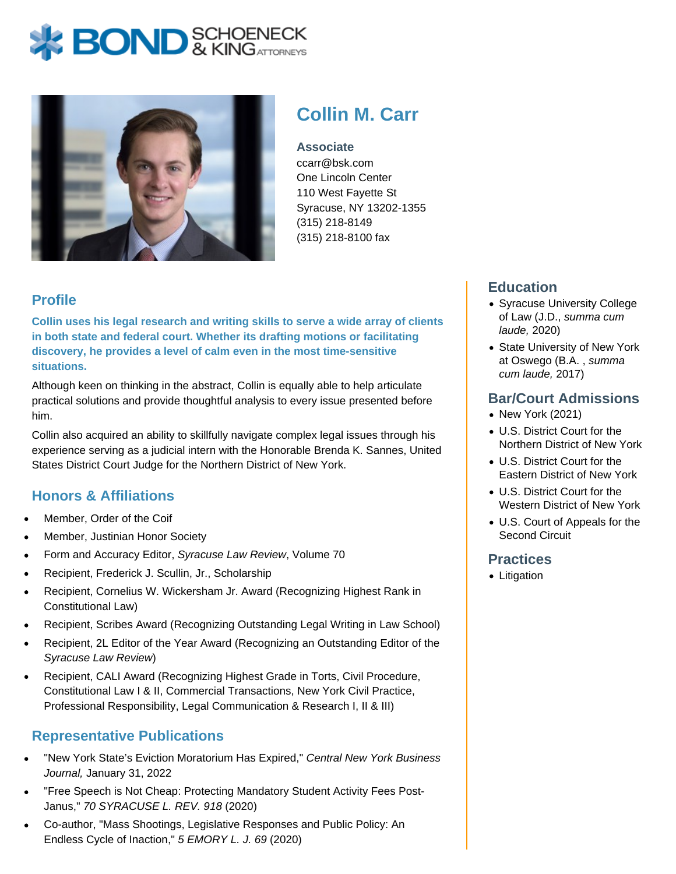# **BOND** & KINGATTORNECK



# **Collin M. Carr**

**Associate** ccarr@bsk.com One Lincoln Center 110 West Fayette St Syracuse, NY 13202-1355 (315) 218-8149 (315) 218-8100 fax

## **Profile**

**Collin uses his legal research and writing skills to serve a wide array of clients in both state and federal court. Whether its drafting motions or facilitating discovery, he provides a level of calm even in the most time-sensitive situations.**

Although keen on thinking in the abstract, Collin is equally able to help articulate practical solutions and provide thoughtful analysis to every issue presented before him.

Collin also acquired an ability to skillfully navigate complex legal issues through his experience serving as a judicial intern with the Honorable Brenda K. Sannes, United States District Court Judge for the Northern District of New York.

### **Honors & Affiliations**

- Member, Order of the Coif
- Member, Justinian Honor Society
- Form and Accuracy Editor, Syracuse Law Review, Volume 70
- Recipient, Frederick J. Scullin, Jr., Scholarship
- Recipient, Cornelius W. Wickersham Jr. Award (Recognizing Highest Rank in Constitutional Law)
- Recipient, Scribes Award (Recognizing Outstanding Legal Writing in Law School)
- Recipient, 2L Editor of the Year Award (Recognizing an Outstanding Editor of the Syracuse Law Review)
- Recipient, CALI Award (Recognizing Highest Grade in Torts, Civil Procedure, Constitutional Law I & II, Commercial Transactions, New York Civil Practice, Professional Responsibility, Legal Communication & Research I, II & III)

### **Representative Publications**

- "New York State's Eviction Moratorium Has Expired," Central New York Business Journal, January 31, 2022
- "Free Speech is Not Cheap: Protecting Mandatory Student Activity Fees Post-Janus," 70 SYRACUSE L. REV. 918 (2020)
- Co-author, "Mass Shootings, Legislative Responses and Public Policy: An Endless Cycle of Inaction," 5 EMORY L. J. 69 (2020)

### **Education**

- Syracuse University College of Law (J.D., summa cum laude, 2020)
- State University of New York at Oswego (B.A. , summa cum laude, 2017)

#### **Bar/Court Admissions**

- New York (2021)
- U.S. District Court for the Northern District of New York
- U.S. District Court for the Eastern District of New York
- U.S. District Court for the Western District of New York
- U.S. Court of Appeals for the Second Circuit

#### **Practices**

• Litigation